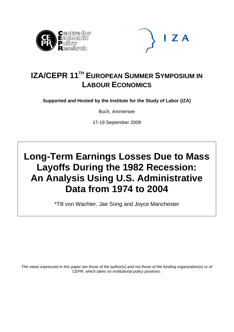



## **IZA/CEPR 11<sup>TH</sup> EUROPEAN SUMMER SYMPOSIUM IN LABOUR ECONOMICS**

**Supported and Hosted by the Institute for the Study of Labor (IZA)** 

Buch, Ammersee

17-19 September 2009

# **Long-Term Earnings Losses Due to Mass Layoffs During the 1982 Recession: An Analysis Using U.S. Administrative Data from 1974 to 2004**

\*Till von Wachter, Jae Song and Joyce Manchester

*The views expressed in this paper are those of the author(s) and not those of the funding organization(s) or of CEPR, which takes no institutional policy positions.*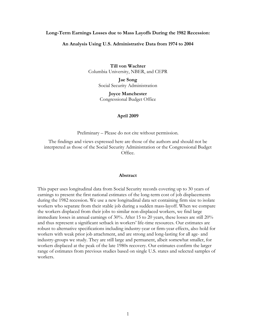#### **Long-Term Earnings Losses due to Mass Layoffs During the 1982 Recession:**

#### **An Analysis Using U.S. Administrative Data from 1974 to 2004**

**Till von Wachter**  Columbia University, NBER, and CEPR

> **Jae Song**  Social Security Administration

**Joyce Manchester**  Congressional Budget Office

#### **April 2009**

Preliminary – Please do not cite without permission.

The findings and views expressed here are those of the authors and should not be interpreted as those of the Social Security Administration or the Congressional Budget Office.

#### **Abstract**

This paper uses longitudinal data from Social Security records covering up to 30 years of earnings to present the first national estimates of the long-term cost of job displacements during the 1982 recession. We use a new longitudinal data set containing firm size to isolate workers who separate from their stable job during a sudden mass-layoff. When we compare the workers displaced from their jobs to similar non-displaced workers, we find large immediate losses in annual earnings of 30%. After 15 to 20 years, these losses are still 20% and thus represent a significant setback in workers' life-time resources. Our estimates are robust to alternative specifications including industry-year or firm-year effects, also hold for workers with weak prior job attachment, and are strong and long-lasting for all age- and industry-groups we study. They are still large and permanent, albeit somewhat smaller, for workers displaced at the peak of the late 1980s recovery. Our estimates confirm the larger range of estimates from previous studies based on single U.S. states and selected samples of workers.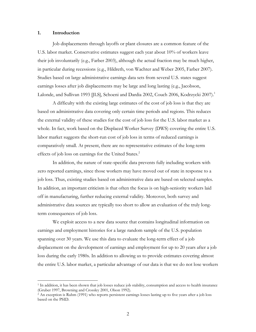#### **1. Introduction**

 $\overline{a}$ 

Job displacements through layoffs or plant closures are a common feature of the U.S. labor market. Conservative estimates suggest each year about 10% of workers leave their job involuntarily (e.g., Farber 2003), although the actual fraction may be much higher, in particular during recessions (e.g., Hildreth, von Wachter and Weber 2005, Farber 2007). Studies based on large administrative earnings data sets from several U.S. states suggest earnings losses after job displacements may be large and long lasting (e.g., Jacobson, Lalonde, and Sullivan 1993 [JLS], Schoeni and Dardia 2002, Couch 2006, Kodrzycki 2007).<sup>1</sup>

 A difficulty with the existing large estimates of the cost of job loss is that they are based on administrative data covering only certain time periods and regions. This reduces the external validity of these studies for the cost of job loss for the U.S. labor market as a whole. In fact, work based on the Displaced Worker Survey (DWS) covering the entire U.S. labor market suggests the short-run cost of job loss in terms of reduced earnings is comparatively small. At present, there are no representative estimates of the long-term effects of job loss on earnings for the United States.<sup>2</sup>

In addition, the nature of state-specific data prevents fully including workers with zero reported earnings, since those workers may have moved out of state in response to a job loss. Thus, existing studies based on administrative data are based on selected samples. In addition, an important criticism is that often the focus is on high-seniority workers laid off in manufacturing, further reducing external validity. Moreover, both survey and administrative data sources are typically too short to allow an evaluation of the truly longterm consequences of job loss.

We exploit access to a new data source that contains longitudinal information on earnings and employment histories for a large random sample of the U.S. population spanning over 30 years. We use this data to evaluate the long-term effect of a job displacement on the development of earnings and employment for up to 20 years after a job loss during the early 1980s. In addition to allowing us to provide estimates covering almost the entire U.S. labor market, a particular advantage of our data is that we do not lose workers

<sup>&</sup>lt;sup>1</sup> In addition, it has been shown that job losses reduce job stability, consumption and access to health insurance (Gruber 1997, Browning and Crossley 2001, Olson 1992).

 $^2$  An exception is Ruhm (1991) who reports persistent earnings losses lasting up to five years after a job loss based on the PSID.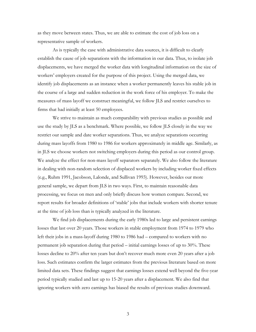as they move between states. Thus, we are able to estimate the cost of job loss on a representative sample of workers.

As is typically the case with administrative data sources, it is difficult to clearly establish the cause of job separations with the information in our data. Thus, to isolate job displacements, we have merged the worker data with longitudinal information on the size of workers' employers created for the purpose of this project. Using the merged data, we identify job displacements as an instance when a worker permanently leaves his stable job in the course of a large and sudden reduction in the work force of his employer. To make the measures of mass layoff we construct meaningful, we follow JLS and restrict ourselves to firms that had initially at least 50 employees.

 We strive to maintain as much comparability with previous studies as possible and use the study by JLS as a benchmark. Where possible, we follow JLS closely in the way we restrict our sample and date worker separations. Thus, we analyze separations occurring during mass layoffs from 1980 to 1986 for workers approximately in middle age. Similarly, as in JLS we choose workers not switching employers during this period as our control group. We analyze the effect for non-mass layoff separators separately. We also follow the literature in dealing with non-random selection of displaced workers by including worker fixed effects (e.g., Ruhm 1991, Jacobson, Lalonde, and Sullivan 1993). However, besides our more general sample, we depart from JLS in two ways. First, to maintain reasonable data processing, we focus on men and only briefly discuss how women compare. Second, we report results for broader definitions of 'stable' jobs that include workers with shorter tenure at the time of job loss than is typically analyzed in the literature.

We find job displacements during the early 1980s led to large and persistent earnings losses that last over 20 years. Those workers in stable employment from 1974 to 1979 who left their jobs in a mass-layoff during 1980 to 1986 had – compared to workers with no permanent job separation during that period – initial earnings losses of up to 30%. These losses decline to 20% after ten years but don't recover much more even 20 years after a job loss. Such estimates confirm the larger estimates from the previous literature based on more limited data sets. These findings suggest that earnings losses extend well beyond the five-year period typically studied and last up to 15-20 years after a displacement. We also find that ignoring workers with zero earnings has biased the results of previous studies downward.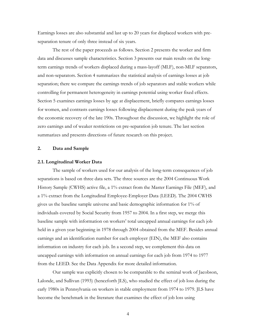Earnings losses are also substantial and last up to 20 years for displaced workers with preseparation tenure of only three instead of six years.

The rest of the paper proceeds as follows. Section 2 presents the worker and firm data and discusses sample characteristics. Section 3 presents our main results on the longterm earnings trends of workers displaced during a mass-layoff (MLF), non-MLF separators, and non-separators. Section 4 summarizes the statistical analysis of earnings losses at job separation; there we compare the earnings trends of job separators and stable workers while controlling for permanent heterogeneity in earnings potential using worker fixed effects. Section 5 examines earnings losses by age at displacement, briefly compares earnings losses for women, and contrasts earnings losses following displacement during the peak years of the economic recovery of the late 190s. Throughout the discussion, we highlight the role of zero earnings and of weaker restrictions on pre-separation job tenure. The last section summarizes and presents directions of future research on this project.

#### **2. Data and Sample**

#### **2.1. Longitudinal Worker Data**

The sample of workers used for our analysis of the long-term consequences of job separations is based on three data sets. The three sources are the 2004 Continuous Work History Sample (CWHS) active file, a 1% extract from the Master Earnings File (MEF), and a 1% extract from the Longitudinal Employee-Employer Data (LEED). The 2004 CWHS gives us the baseline sample universe and basic demographic information for 1% of individuals covered by Social Security from 1957 to 2004. In a first step, we merge this baseline sample with information on workers' total uncapped annual earnings for each job held in a given year beginning in 1978 through 2004 obtained from the MEF. Besides annual earnings and an identification number for each employer (EIN), the MEF also contains information on industry for each job. In a second step, we complement this data on uncapped earnings with information on annual earnings for each job from 1974 to 1977 from the LEED. See the Data Appendix for more detailed information.

Our sample was explicitly chosen to be comparable to the seminal work of Jacobson, Lalonde, and Sullivan (1993) (henceforth JLS), who studied the effect of job loss during the early 1980s in Pennsylvania on workers in stable employment from 1974 to 1979. JLS have become the benchmark in the literature that examines the effect of job loss using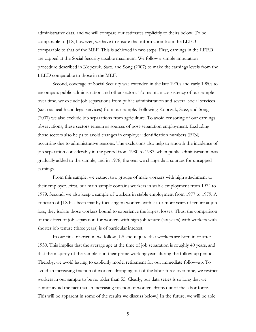administrative data, and we will compare our estimates explicitly to theirs below. To be comparable to JLS, however, we have to ensure that information from the LEED is comparable to that of the MEF. This is achieved in two steps. First, earnings in the LEED are capped at the Social Security taxable maximum. We follow a simple imputation procedure described in Kopczuk, Saez, and Song (2007) to make the earnings levels from the LEED comparable to those in the MEF.

Second, coverage of Social Security was extended in the late 1970s and early 1980s to encompass public administration and other sectors. To maintain consistency of our sample over time, we exclude job separations from public administration and several social services (such as health and legal services) from our sample. Following Kopczuk, Saez, and Song (2007) we also exclude job separations from agriculture. To avoid censoring of our earnings observations, these sectors remain as sources of post-separation employment. Excluding those sectors also helps to avoid changes in employer identification numbers (EIN) occurring due to administrative reasons. The exclusions also help to smooth the incidence of job separation considerably in the period from 1980 to 1987, when public administration was gradually added to the sample, and in 1978, the year we change data sources for uncapped earnings.

From this sample, we extract two groups of male workers with high attachment to their employer. First, our main sample contains workers in stable employment from 1974 to 1979. Second, we also keep a sample of workers in stable employment from 1977 to 1979. A criticism of JLS has been that by focusing on workers with six or more years of tenure at job loss, they isolate those workers bound to experience the largest losses. Thus, the comparison of the effect of job separation for workers with high job tenure (six years) with workers with shorter job tenure (three years) is of particular interest.

In our final restriction we follow JLS and require that workers are born in or after 1930. This implies that the average age at the time of job separation is roughly 40 years, and that the majority of the sample is in their prime working years during the follow-up period. Thereby, we avoid having to explicitly model retirement for our immediate follow-up. To avoid an increasing fraction of workers dropping out of the labor force over time, we restrict workers in our sample to be no older than 55. Clearly, our data series is so long that we cannot avoid the fact that an increasing fraction of workers drops out of the labor force. This will be apparent in some of the results we discuss below.] In the future, we will be able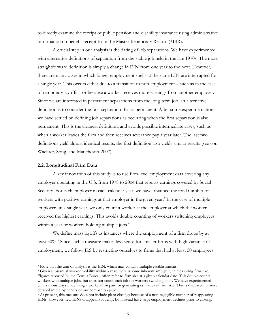to directly examine the receipt of public pension and disability insurance using administrative information on benefit receipt from the Master Beneficiary Record (MBR).

A crucial step in our analysis is the dating of job separations. We have experimented with alternative definitions of separation from the stable job held in the late 1970s. The most straightforward definition is simply a change in EIN from one year to the next. However, there are many cases in which longer employment spells at the same EIN are interrupted for a single year. This occurs either due to a transition to non-employment – such as in the case of temporary layoffs – or because a worker receives more earnings from another employer. Since we are interested in permanent separations from the long-term job, an alternative definition is to consider the first separation that is permanent. After some experimentation we have settled on defining job separations as occurring when the first separation is also permanent. This is the cleanest definition, and avoids possible intermediate cases, such as when a worker leaves the firm and then receives severance pay a year later. The last two definitions yield almost identical results; the first definition also yields similar results (see von Wachter, Song, and Manchester 2007).

#### **2.2. Longitudinal Firm Data**

 $\overline{a}$ 

 A key innovation of this study is to use firm-level employment data covering any employer operating in the U.S. from 1978 to 2004 that reports earnings covered by Social Security. For each employer in each calendar year, we have obtained the total number of workers with positive earnings at that employer in the given year.<sup>3</sup> In the case of multiple employers in a single year, we only count a worker at the employer at which the worker received the highest earnings. This avoids double counting of workers switching employers within a year or workers holding multiple jobs.<sup>4</sup>

 We define mass layoffs as instances where the employment of a firm drops by at least 30%.<sup>5</sup> Since such a measure makes less sense for smaller firms with high variance of employment, we follow JLS by restricting ourselves to firms that had at least 50 employees

 $3$  Note that the unit of analysis is the EIN, which may contain multiple establishments.<br> $4$  Given substantial worker mobility within a year, there is some inherent ambiguity in measuring firm size. Figures reported by the Census Bureau often refer to firm size at a given calendar date. This double counts workers with multiple jobs, but does not count each job for workers switching jobs. We have experimented with various ways in defining a worker-firm pair for generating estimates of firm size. This is discussed in more detailed in the Appendix of our companion paper.

<sup>5</sup> At present, this measure does not include plant closings because of a non-negligible number of reappearing EINs. However, few EINs disappear suddenly, but instead have large employment declines prior to closing.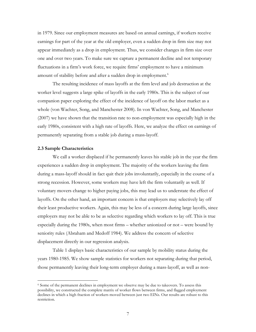in 1979. Since our employment measures are based on annual earnings, if workers receive earnings for part of the year at the old employer, even a sudden drop in firm size may not appear immediately as a drop in employment. Thus, we consider changes in firm size over one and over two years. To make sure we capture a permanent decline and not temporary fluctuations in a firm's work force, we require firms' employment to have a minimum amount of stability before and after a sudden drop in employment.<sup>6</sup>

 The resulting incidence of mass layoffs at the firm level and job destruction at the worker level suggests a large spike of layoffs in the early 1980s. This is the subject of our companion paper exploring the effect of the incidence of layoff on the labor market as a whole (von Wachter, Song, and Manchester 2008). In von Wachter, Song, and Manchester (2007) we have shown that the transition rate to non-employment was especially high in the early 1980s, consistent with a high rate of layoffs. Here, we analyze the effect on earnings of permanently separating from a stable job during a mass-layoff.

#### **2.3 Sample Characteristics**

 $\overline{a}$ 

We call a worker displaced if he permanently leaves his stable job in the year the firm experiences a sudden drop in employment. The majority of the workers leaving the firm during a mass-layoff should in fact quit their jobs involuntarily, especially in the course of a strong recession. However, some workers may have left the firm voluntarily as well. If voluntary movers change to higher paying jobs, this may lead us to understate the effect of layoffs. On the other hand, an important concern is that employers may selectively lay off their least productive workers. Again, this may be less of a concern during large layoffs, since employers may not be able to be as selective regarding which workers to lay off. This is true especially during the 1980s, when most firms – whether unionized or not – were bound by seniority rules (Abraham and Medoff 1984). We address the concern of selective displacement directly in our regression analysis.

Table 1 displays basic characteristics of our sample by mobility status during the years 1980-1985. We show sample statistics for workers not separating during that period, those permanently leaving their long-term employer during a mass-layoff, as well as non-

<sup>6</sup> Some of the permanent declines in employment we observe may be due to takeovers. To assess this possibility, we constructed the complete matrix of worker flows between firms, and flagged employment declines in which a high fraction of workers moved between just two EINs. Our results are robust to this restriction.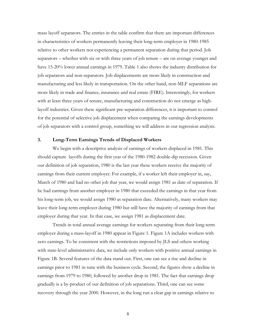mass layoff separators. The entries in the table confirm that there are important differences in characteristics of workers permanently leaving their long-term employer in 1980-1985 relative to other workers not experiencing a permanent separation during that period. Job separators – whether with six or with three years of job tenure – are on average younger and have 15-20% lower annual earnings in 1979. Table 1 also shows the industry distribution for job separators and non-separators. Job displacements are more likely in construction and manufacturing and less likely in transportation. On the other hand, non-MLF separations are more likely in trade and finance, insurance and real estate (FIRE). Interestingly, for workers with at least three years of tenure, manufacturing and construction do not emerge as highlayoff industries. Given these significant pre-separation differences, it is important to control for the potential of selective job displacement when comparing the earnings developments of job separators with a control group, something we will address in our regression analysis.

#### **3. Long-Term Earnings Trends of Displaced Workers**

We begin with a descriptive analysis of earnings of workers displaced in 1981. This should capture layoffs during the first year of the 1980-1982 double-dip recession. Given our definition of job separation, 1980 is the last year these workers receive the majority of earnings from their current employer. For example, if a worker left their employer in, say, March of 1980 and had no other job that year, we would assign 1981 as date of separation. If he had earnings from another employer in 1980 that exceeded the earnings in that year from his long-term job, we would assign 1980 as separation date. Alternatively, many workers may leave their long-term employer during 1980 but still have the majority of earnings from that employer during that year. In that case, we assign 1981 as displacement date.

Trends in total annual average earnings for workers separating from their long-term employer during a mass-layoff in 1980 appear in Figure 1. Figure 1A includes workers with zero earnings. To be consistent with the restrictions imposed by JLS and others working with state-level administrative data, we include only workers with positive annual earnings in Figure 1B. Several features of the data stand out. First, one can see a rise and decline in earnings prior to 1981 in tune with the business cycle. Second, the figures show a decline in earnings from 1979 to 1980, followed by another drop in 1981. The fact that earnings drop gradually is a by-product of our definition of job separations. Third, one can see some recovery through the year 2000. However, in the long run a clear gap in earnings relative to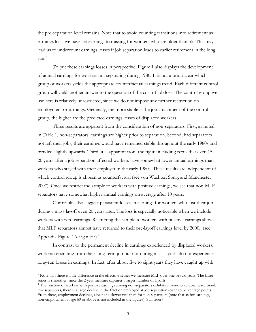the pre-separation level remains. Note that to avoid counting transitions into retirement as earnings loss, we have set earnings to missing for workers who are older than 55. This may lead us to undercount earnings losses if job separation leads to earlier retirement in the long run. $<sup>7</sup>$ </sup>

To put these earnings losses in perspective, Figure 1 also displays the development of annual earnings for workers not separating during 1980. It is not a priori clear which group of workers yields the appropriate counterfactual earnings trend. Each different control group will yield another answer to the question of the cost of job loss. The control group we use here is relatively unrestricted, since we do not impose any further restriction on employment or earnings. Generally, the more stable is the job attachment of the control group, the higher are the predicted earnings losses of displaced workers.

Three results are apparent from the consideration of non-separators. First, as noted in Table 1, non-separators' earnings are higher prior to separation. Second, had separators not left their jobs, their earnings would have remained stable throughout the early 1980s and trended slightly upwards. Third, it is apparent from the figure including zeros that even 15- 20 years after a job separation affected workers have somewhat lower annual earnings than workers who stayed with their employer in the early 1980s. These results are independent of which control group is chosen as counterfactual (see von Wachter, Song, and Manchester 2007). Once we restrict the sample to workers with positive earnings, we see that non-MLF separators have somewhat higher annual earnings on average after 10 years.

Our results also suggest persistent losses in earnings for workers who lost their job during a mass-layoff even 20 years later. The loss is especially noticeable when we include workers with zero earnings. Restricting the sample to workers with positive earnings shows that MLF separators almost have returned to their pre-layoff earnings level by 2000. (see Appendix Figure 1A ??gone??).<sup>8</sup>

In contrast to the permanent decline in earnings experienced by displaced workers, workers separating from their long-term job but not during mass layoffs do not experience long-run losses in earnings. In fact, after about five to eight years they have caught up with

 $\overline{a}$ 

<sup>7</sup> Note that there is little difference in the effects whether we measure MLF over one or two years. The latter series is smoother, since the 2-year measure captures a larger number of layoffs.

<sup>&</sup>lt;sup>8</sup> The fraction of workers with positive earnings among non-separators exhibits a monotonic downward trend. For separators, there is a large decline in the fraction employed at job separation (over 15 percentage points). From there, employment declines, albeit at a slower rate than for non-separators (note that as for earnings, non-employment at age 60 or above is not included in the figures). Still true??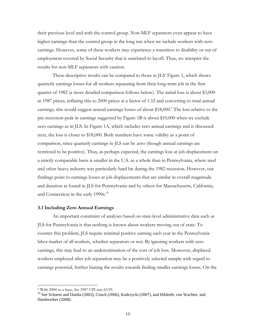their previous level and with the control group. Non-MLF separators even appear to have higher earnings than the control group in the long run when we include workers with zero earnings. However, some of these workers may experience a transition to disability or out of employment covered by Social Security that is unrelated to layoff. Thus, we interpret the results for non-MLF separators with caution.

These descriptive results can be compared to those in JLS' Figure 1, which shows quarterly earnings losses for all workers separating from their long-term job in the first quarter of 1982 (a more detailed comparison follows below). The initial loss is about \$3,000 in 1987 prices; inflating this to 2000 prices at a factor of 1.52 and converting to total annual earnings, this would suggest annual earnings losses of about \$18,000.<sup>9</sup> The loss relative to the pre-recession peak in earnings suggested by Figure 1B is about \$10,000 when we exclude zero earnings as in JLS. In Figure 1A, which includes zero annual earnings and is discussed next, the loss is closer to \$18,000. Both numbers have some validity as a point of comparison, since quarterly earnings in JLS can be zero (though annual earnings are restricted to be positive). Thus, as perhaps expected, the earnings loss at job displacement on a strictly comparable basis is smaller in the U.S. as a whole than in Pennsylvania, where steel and other heavy industry was particularly hard hit during the 1982 recession. However, our findings point to earnings losses at job displacements that are similar in overall magnitude and duration as found in JLS for Pennsylvania and by others for Massachusetts, California, and Connecticut in the early 1990s.<sup>10</sup>

#### **3.1 Including Zero Annual Earnings**

An important constraint of analyses based on state-level administrative data such as JLS for Pennsylvania is that nothing is known about workers moving out of state. To counter this problem, JLS require minimal positive earning each year in the Pennsylvania labor market of all workers, whether separators or not. By ignoring workers with zero earnings, this may lead to an underestimation of the cost of job loss. Moreover, displaced workers employed after job separation may be a positively selected sample with regard to earnings potential, further biasing the results towards finding smaller earnings losses. On the

 $\overline{a}$ 

<sup>9</sup> With 2000 as a base, the 1987 CPI was 65.95.

<sup>&</sup>lt;sup>10</sup> See Schoeni and Dardia (2003), Couch (2006), Kodrzycki (2007), and Hildreth, von Wachter, and Handwerker (2008).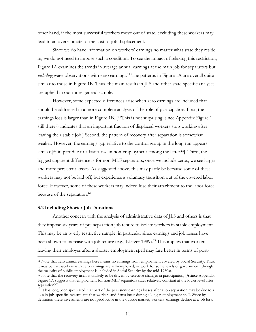other hand, if the most successful workers move out of state, excluding these workers may lead to an overestimate of the cost of job displacement.

Since we do have information on workers' earnings no matter what state they reside in, we do not need to impose such a condition. To see the impact of relaxing this restriction, Figure 1A examines the trends in average annual earnings at the main job for separators but *including* wage observations with zero earnings.<sup>11</sup> The patterns in Figure 1A are overall quite similar to those in Figure 1B. Thus, the main results in JLS and other state-specific analyses are upheld in our more general sample.

However, some expected differences arise when zero earnings are included that should be addressed in a more complete analysis of the role of participation. First, the earnings loss is larger than in Figure 1B. [??This is not surprising, since Appendix Figure 1 still there?? indicates that an important fraction of displaced workers stop working after leaving their stable job.] Second, the pattern of recovery after separation is somewhat weaker. However, the earnings gap relative to the control group in the long run appears similar,[?? in part due to a faster rise in non-employment among the latter??]. Third, the biggest apparent difference is for non-MLF separators; once we include zeros, we see larger and more persistent losses. As suggested above, this may partly be because some of these workers may not be laid off, but experience a voluntary transition out of the covered labor force. However, some of these workers may indeed lose their attachment to the labor force because of the separation.<sup>12</sup>

#### **3.2 Including Shorter Job Durations**

 $\overline{a}$ 

Another concern with the analysis of administrative data of JLS and others is that they impose six years of pre-separation job tenure to isolate workers in stable employment. This may be an overly restrictive sample, in particular since earnings and job losses have been shown to increase with job tenure (e.g., Kletzer 1989).<sup>13</sup> This implies that workers leaving their employer after a shorter employment spell may fare better in terms of post-

<sup>11</sup> Note that zero annual earnings here means no earnings from employment covered by Social Security. Thus, it may be that workers with zero earnings are self-employed, or work for some levels of government (though the majority of public employment is included in Social Security by the mid-1980s).<br><sup>12</sup> Note that the recovery itself is unlikely to be driven by selective changes in participation, [??since Appendix

Figure 1A suggests that employment for non-MLF separators stays relatively constant at the lower level after separation??].

 $13$  It has long been speculated that part of the persistent earnings losses after a job separation may be due to a loss in job-specific investments that workers and firms incur during a longer employment spell. Since by definition these investments are not productive in the outside market, workers' earnings decline at a job loss.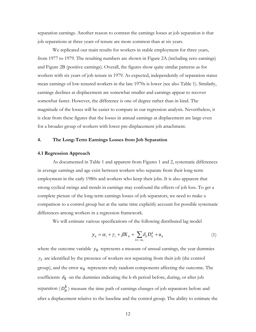separation earnings. Another reason to contrast the earnings losses at job separation is that job separations at three years of tenure are more common than at six years.

We replicated our main results for workers in stable employment for three years, from 1977 to 1979. The resulting numbers are shown in Figure 2A (including zero earnings) and Figure 2B (positive earnings). Overall, the figures show quite similar patterns as for workers with six years of job tenure in 1979. As expected, independently of separation status mean earnings of low-tenured workers in the late 1970s is lower (see also Table 1). Similarly, earnings declines at displacement are somewhat smaller and earnings appear to recover somewhat faster. However, the difference is one of degree rather than in kind. The magnitude of the losses will be easier to compare in our regression analysis. Nevertheless, it is clear from these figures that the losses in annual earnings at displacement are large even for a broader group of workers with lower pre-displacement job attachment.

#### **4. The Long-Term Earnings Losses from Job Separation**

#### **4.1 Regression Approach**

As documented in Table 1 and apparent from Figures 1 and 2, systematic differences in average earnings and age exist between workers who separate from their long-term employment in the early 1980s and workers who keep their jobs. It is also apparent that strong cyclical swings and trends in earnings may confound the effects of job loss. To get a complete picture of the long-term earnings losses of job separators, we need to make a comparison to a control group but at the same time explicitly account for possible systematic differences among workers in a regression framework.

We will estimate various specifications of the following distributed lag model

$$
y_{it} = \alpha_i + \gamma_t + \beta X_{it} + \sum_{k \ge -m,} \delta_k D_{it}^k + u_{it}
$$
 (1)

where the outcome variable  $y_{it}$  represents a measure of annual earnings, the year dummies  $\gamma_t$  are identified by the presence of workers not separating from their job (the control group), and the error *uit* represents truly random components affecting the outcome. The coefficients  $\delta_k$  on the dummies indicating the k-th period before, during, or after job separation  $(D_{it}^k)$  measure the time path of earnings changes of job separators before and after a displacement relative to the baseline and the control group. The ability to estimate the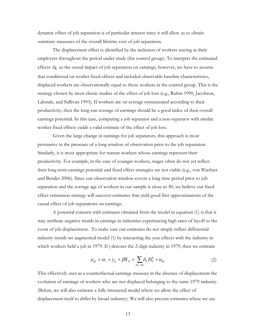dynamic effect of job separation is of particular interest since it will allow us to obtain summary measures of the overall lifetime cost of job separation.

The displacement effect is identified by the inclusion of workers staying at their employers throughout the period under study (the control group). To interpret the estimated effects  $\delta_k$  as the causal impact of job separation on earnings, however, we have to assume that conditional on worker fixed effects and included observable baseline characteristics, displaced workers are observationally equal to those workers in the control group. This is the strategy chosen by most classic studies of the effect of job loss (e.g., Ruhm 1990, Jacobson, Lalonde, and Sullivan 1993). If workers are on average remunerated according to their productivity, then the long-run average of earnings should be a good index of their overall earnings potential. In this case, comparing a job separator and a non-separator with similar worker fixed effects yields a valid estimate of the effect of job loss.

Given the large change in earnings for job separators, this approach is most persuasive in the presence of a long window of observation prior to the job separation. Similarly, it is most appropriate for mature workers whose earnings represent their productivity. For example, in the case of younger workers, wages often do not yet reflect their long-term earnings potential and fixed effect strategies are not viable (e.g., von Wachter and Bender 2006). Since our observation window covers a long time period prior to job separation and the average age of workers in our sample is close to 40, we believe our fixed effect estimation strategy will uncover estimates that yield good first approximations of the causal effect of job separations on earnings.

A potential concern with estimates obtained from the model in equation (1) is that it may attribute negative trends in earnings in industries experiencing high rates of layoff to the event of job displacement. To make sure our estimates do not simply reflect differential industry trends we augmented model (1) by interacting the year effects with the industry in which workers held a job in 1979. If j denotes the 2-digit industry in 1979, then we estimate

$$
y_{ijt} = \alpha_i + \gamma_{tj} + \beta X_{it} + \sum_{k \ge -m,} \delta_k D_{it}^k + u_{ijt}
$$
 (2)

This effectively uses as a counterfactual earnings measure in the absence of displacement the evolution of earnings of workers who are not displaced belonging to the same 1979 industry. (Below, we will also estimate a fully interacted model where we allow the effect of displacement itself to differ by broad industry). We will also present estimates where we use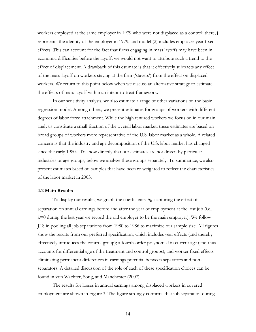workers employed at the same employer in 1979 who were not displaced as a control; there, j represents the identity of the employer in 1979, and model (2) includes employer-year fixed effects. This can account for the fact that firms engaging in mass layoffs may have been in economic difficulties before the layoff; we would not want to attribute such a trend to the effect of displacement. A drawback of this estimate is that it effectively subtracts any effect of the mass-layoff on workers staying at the firm ('stayers') from the effect on displaced workers. We return to this point below when we discuss an alternative strategy to estimate the effects of mass-layoff within an intent-to-treat framework.

 In our sensitivity analysis, we also estimate a range of other variations on the basic regression model. Among others, we present estimates for groups of workers with different degrees of labor force attachment. While the high tenured workers we focus on in our main analysis constitute a small fraction of the overall labor market, these estimates are based on broad groups of workers more representative of the U.S. labor market as a whole. A related concern is that the industry and age decomposition of the U.S. labor market has changed since the early 1980s. To show directly that our estimates are not driven by particular industries or age-groups, below we analyze these groups separately. To summarize, we also present estimates based on samples that have been re-weighted to reflect the characteristics of the labor market in 2003.

#### **4.2 Main Results**

To display our results, we graph the coefficients  $\delta_k$  capturing the effect of separation on annual earnings before and after the year of employment at the lost job (i.e., k=0 during the last year we record the old employer to be the main employer). We follow JLS in pooling all job separations from 1980 to 1986 to maximize our sample size. All figures show the results from our preferred specification, which includes year effects (and thereby effectively introduces the control group); a fourth-order polynomial in current age (and thus accounts for differential age of the treatment and control groups); and worker fixed effects eliminating permanent differences in earnings potential between separators and nonseparators. A detailed discussion of the role of each of these specification choices can be found in von Wachter, Song, and Manchester (2007).

The results for losses in annual earnings among displaced workers in covered employment are shown in Figure 3. The figure strongly confirms that job separation during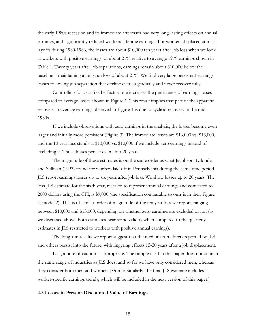the early 1980s recession and its immediate aftermath had very long-lasting effects on annual earnings, and significantly reduced workers' lifetime earnings. For workers displaced at mass layoffs during 1980-1986, the losses are about \$10,000 ten years after job loss when we look at workers with positive earnings, or about 21% relative to average 1979 earnings shown in Table 1. Twenty years after job separations, earnings remain about \$10,000 below the baseline – maintaining a long run loss of about 21%. We find very large persistent earnings losses following job separation that decline ever so gradually and never recover fully.

Controlling for year fixed effects alone increases the persistence of earnings losses compared to average losses shown in Figure 1. This result implies that part of the apparent recovery in average earnings observed in Figure 1 is due to cyclical recovery in the mid-1980s.

If we include observations with zero earnings in the analysis, the losses become even larger and initially more persistent (Figure 3). The immediate losses are \$16,000 vs. \$13,000, and the 10 year loss stands at \$13,000 vs. \$10,000 if we include zero earnings instead of excluding it. Those losses persist even after 20 years.

The magnitude of these estimates is on the same order as what Jacobson, Lalonde, and Sullivan (1993) found for workers laid off in Pennsylvania during the same time period. JLS report earnings losses up to six years after job loss. We show losses up to 20 years. The loss JLS estimate for the sixth year, rescaled to represent annual earnings and converted to 2000 dollars using the CPI, is \$9,000 (the specification comparable to ours is in their Figure 4, model 2). This is of similar order of magnitude of the ten year loss we report, ranging between \$10,000 and \$13,000, depending on whether zero earnings are excluded or not (as we discussed above, both estimates bear some validity when compared to the quarterly estimates in JLS restricted to workers with positive annual earnings).

The long-run results we report suggest that the medium-run effects reported by JLS and others persist into the future, with lingering effects 15-20 years after a job displacement.

Last, a note of caution is appropriate. The sample used in this paper does not contain the same range of industries as JLS does, and so far we have only considered men, whereas they consider both men and women. [??omit: Similarly, the final JLS estimate includes worker-specific earnings trends, which will be included in the next version of this paper.]

#### **4.3 Losses in Present-Discounted Value of Earnings**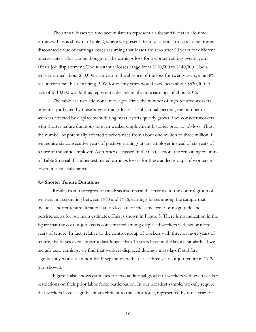The annual losses we find accumulate to represent a substantial loss in life-time earnings. This is shown in Table 2, where we present the implications for loss in the presentdiscounted value of earnings losses assuming that losses are zero after 20 years for different interest rates. This can be thought of the earnings loss for a worker retiring twenty years after a job displacement. The substantial losses range from \$110,000 to \$140,000. Had a worker earned about \$50,000 each year in the absence of the loss for twenty years, at an 8% real interest rate his remaining PDV for twenty years would have been about \$530,000. A loss of \$110,000 would thus represent a decline in life-time earnings of about 20%.

The table has two additional messages. First, the number of high-tenured workers potentially affected by these large earnings losses is substantial. Second, the number of workers affected by displacement during mass layoffs quickly grows if we consider workers with shorter tenure durations or even weaker employment histories prior to job loss. Thus, the number of potentially affected workers rises from about one million to three million if we require six consecutive years of positive earnings at any employer instead of six years of tenure at the same employer. As further discussed in the next section, the remaining columns of Table 2 reveal that albeit estimated earnings losses for these added groups of workers is lower, it is still substantial.

#### **4.4 Shorter Tenure Durations**

Results from the regression analysis also reveal that relative to the control group of workers not separating between 1980 and 1986, earnings losses among the sample that includes shorter tenure durations at job loss are of the same order of magnitude and persistence as for our main estimates. This is shown in Figure 5. There is no indication in the figure that the cost of job loss is concentrated among displaced workers with six or more years of tenure. In fact, relative to the control group of workers with three or more years of tenure, the losses even appear to last longer than 15 years beyond the layoff. Similarly, if we include zero earnings, we find that workers displaced during a mass-layoff still fare significantly worse than non-MLF separators with at least three years of job tenure in 1979 (not shown).

Figure 5 also shows estimates for two additional groups of workers with even weaker restrictions on their prior labor force participation. In our broadest sample, we only require that workers have a significant attachment to the labor force, represented by three years of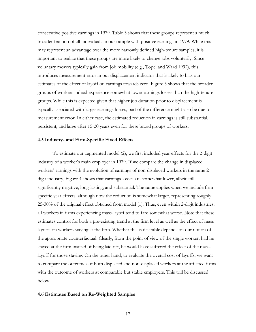consecutive positive earnings in 1979. Table 3 shows that these groups represent a much broader fraction of all individuals in our sample with positive earnings in 1979. While this may represent an advantage over the more narrowly defined high-tenure samples, it is important to realize that these groups are more likely to change jobs voluntarily. Since voluntary movers typically gain from job mobility (e.g., Topel and Ward 1992), this introduces measurement error in our displacement indicator that is likely to bias our estimates of the effect of layoff on earnings towards zero. Figure 5 shows that the broader groups of workers indeed experience somewhat lower earnings losses than the high-tenure groups. While this is expected given that higher job duration prior to displacement is typically associated with larger earnings losses, part of the difference might also be due to measurement error. In either case, the estimated reduction in earnings is still substantial, persistent, and large after 15-20 years even for these broad groups of workers.

#### **4.5 Industry- and Firm-Specific Fixed Effects**

To estimate our augmented model (2), we first included year-effects for the 2-digit industry of a worker's main employer in 1979. If we compare the change in displaced workers' earnings with the evolution of earnings of non-displaced workers in the same 2 digit industry, Figure 4 shows that earnings losses are somewhat lower, albeit still significantly negative, long-lasting, and substantial. The same applies when we include firmspecific year effects, although now the reduction is somewhat larger, representing roughly 25-30% of the original effect obtained from model (1). Thus, even within 2-digit industries, all workers in firms experiencing mass-layoff tend to fare somewhat worse. Note that these estimates control for both a pre-existing trend at the firm level as well as the effect of mass layoffs on workers staying at the firm. Whether this is desirable depends on our notion of the appropriate counterfactual. Clearly, from the point of view of the single worker, had he stayed at the firm instead of being laid off, he would have suffered the effect of the masslayoff for those staying. On the other hand, to evaluate the overall cost of layoffs, we want to compare the outcomes of both displaced and non-displaced workers at the affected firms with the outcome of workers at comparable but stable employers. This will be discussed below.

#### **4.6 Estimates Based on Re-Weighted Samples**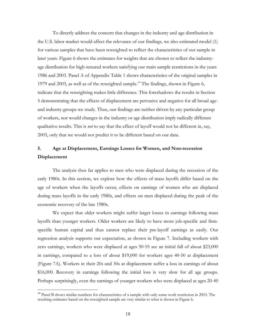To directly address the concern that changes in the industry and age distribution in the U.S. labor market would affect the relevance of our findings, we also estimated model (1) for various samples that have been reweighted to reflect the characteristics of our sample in later years. Figure 6 shows the estimates for weights that are chosen to reflect the industryage distribution for high-tenured workers satisfying our main sample restrictions in the years 1986 and 2003. Panel A of Appendix Table 1 shows characteristics of the original samples in 1979 and 2003, as well as of the reweighted sample.<sup>14</sup> The findings, shown in Figure 6, indicate that the reweighting makes little difference. This foreshadows the results in Section 5 demonstrating that the effects of displacement are pervasive and negative for all broad ageand industry-groups we study. Thus, our findings are neither driven by any particular group of workers, nor would changes in the industry or age distribution imply radically different qualitative results. This is *not* to say that the effect of layoff would not be different in, say, 2003, only that we would not predict it to be different based on our data.

### **5. Age at Displacement, Earnings Losses for Women, and Non-recession Displacement**

 The analysis thus far applies to men who were displaced during the recession of the early 1980s. In this section, we explore how the effects of mass layoffs differ based on the age of workers when the layoffs occur, effects on earnings of women who are displaced during mass layoffs in the early 1980s, and effects on men displaced during the peak of the economic recovery of the late 1980s.

 We expect that older workers might suffer larger losses in earnings following mass layoffs than younger workers. Older workers are likely to have more job-specific and firmspecific human capital and thus cannot replace their pre-layoff earnings as easily. Our regression analysis supports our expectation, as shown in Figure 7. Including workers with zero earnings, workers who were displaced at ages 50-55 see an initial fall of about \$23,000 in earnings, compared to a loss of about \$19,000 for workers ages 40-50 at displacement (Figure 7A). Workers in their 20s and 30s at displacement suffer a loss in earnings of about \$16,000. Recovery in earnings following the initial loss is very slow for all age groups. Perhaps surprisingly, even the earnings of younger workers who were displaced at ages 20-40

 $\overline{a}$ 

<sup>&</sup>lt;sup>14</sup> Panel B shows similar numbers for characteristics of a sample with only some work restriction in 2003. The resulting estimates based on the reweighted sample are very similar to what is shown in Figure 6.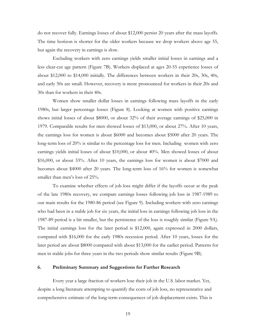do not recover fully. Earnings losses of about \$12,000 persist 20 years after the mass layoffs. The time horizon is shorter for the older workers because we drop workers above age 55, but again the recovery in earnings is slow.

 Excluding workers with zero earnings yields smaller initial losses in earnings and a less clear-cut age pattern (Figure 7B). Workers displaced at ages 20-55 experience losses of about \$12,000 to \$14,000 initially. The differences between workers in their 20s, 30s, 40s, and early 50s are small. However, recovery is more pronounced for workers in their 20s and 30s than for workers in their 40s.

 Women show smaller dollar losses in earnings following mass layoffs in the early 1980s, but larger percentage losses (Figure 8). Looking at women with positive earnings shows initial losses of about \$8000, or about 32% of their average earnings of \$25,000 in 1979. Comparable results for men showed losses of \$13,000, or about 27%. After 10 years, the earnings loss for women is about \$6000 and becomes about \$5000 after 20 years. The long-term loss of 20% is similar to the percentage loss for men. Including women with zero earnings yields initial losses of about \$10,000, or about 40%. Men showed losses of about \$16,000, or about 33%. After 10 years, the earnings loss for women is about \$7000 and becomes about \$4000 after 20 years. The long-term loss of 16% for women is somewhat smaller than men's loss of 25%.

 To examine whether effects of job loss might differ if the layoffs occur at the peak of the late 1980s recovery, we compare earnings losses following job loss in 1987-1989 to our main results for the 1980-86 period (see Figure 9). Including workers with zero earnings who had been in a stable job for six years, the initial loss in earnings following job loss in the 1987-89 period is a bit smaller, but the persistence of the loss is roughly similar (Figure 9A). The initial earnings loss for the later period is \$12,000, again expressed in 2000 dollars, compared with \$16,000 for the early 1980s recession period. After 10 years, losses for the later period are about \$8000 compared with about \$13,000 for the earlier period. Patterns for men in stable jobs for three years in the two periods show similar results (Figure 9B).

#### **6. Preliminary Summary and Suggestions for Further Research**

Every year a large fraction of workers lose their job in the U.S. labor market. Yet, despite a long literature attempting to quantify the costs of job loss, no representative and comprehensive estimate of the long-term consequences of job displacement exists. This is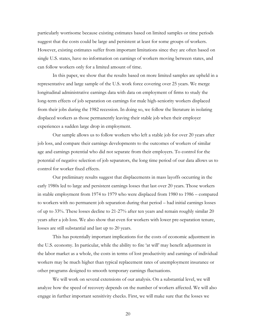particularly worrisome because existing estimates based on limited samples or time periods suggest that the costs could be large and persistent at least for some groups of workers. However, existing estimates suffer from important limitations since they are often based on single U.S. states, have no information on earnings of workers moving between states, and can follow workers only for a limited amount of time.

In this paper, we show that the results based on more limited samples are upheld in a representative and large sample of the U.S. work force covering over 25 years. We merge longitudinal administrative earnings data with data on employment of firms to study the long-term effects of job separation on earnings for male high-seniority workers displaced from their jobs during the 1982 recession. In doing so, we follow the literature in isolating displaced workers as those permanently leaving their stable job when their employer experiences a sudden large drop in employment.

Our sample allows us to follow workers who left a stable job for over 20 years after job loss, and compare their earnings developments to the outcomes of workers of similar age and earnings potential who did not separate from their employers. To control for the potential of negative selection of job separators, the long time period of our data allows us to control for worker fixed effects.

Our preliminary results suggest that displacements in mass layoffs occurring in the early 1980s led to large and persistent earnings losses that last over 20 years. Those workers in stable employment from 1974 to 1979 who were displaced from 1980 to 1986 – compared to workers with no permanent job separation during that period – had initial earnings losses of up to 33%. These losses decline to 21-27% after ten years and remain roughly similar 20 years after a job loss. We also show that even for workers with lower pre-separation tenure, losses are still substantial and last up to 20 years.

This has potentially important implications for the costs of economic adjustment in the U.S. economy. In particular, while the ability to fire 'at will' may benefit adjustment in the labor market as a whole, the costs in terms of lost productivity and earnings of individual workers may be much higher than typical replacement rates of unemployment insurance or other programs designed to smooth temporary earnings fluctuations.

We will work on several extensions of our analysis. On a substantial level, we will analyze how the speed of recovery depends on the number of workers affected. We will also engage in further important sensitivity checks. First, we will make sure that the losses we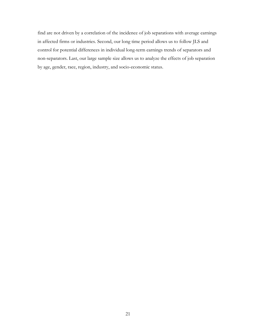find are not driven by a correlation of the incidence of job separations with average earnings in affected firms or industries. Second, our long time period allows us to follow JLS and control for potential differences in individual long-term earnings trends of separators and non-separators. Last, our large sample size allows us to analyze the effects of job separation by age, gender, race, region, industry, and socio-economic status.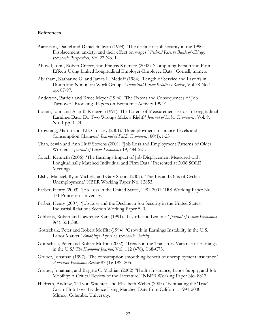#### **References**

- Aaronson, Daniel and Daniel Sullivan (1998). 'The decline of job security in the 1990s: Displacement, anxiety, and their effect on wages.' *Federal Reserve Bank of Chicago Economic Perspectives*, Vol.22 No. 1.
- Abowd, John, Robert Creecy, and Francis Kramarz (2002). 'Computing Person and Firm Effects Using Linked Longitudinal Employer-Employee Data.' Cornell, mimeo.
- Abraham, Katharine G. and James L. Medoff (1984). 'Length of Service and Layoffs in Union and Nonunion Work Groups.' *Industrial Labor Relations Review*, Vol.38 No.1 pp. 87-97.
- Anderson, Patricia and Bruce Meyer (1994). 'The Extent and Consequences of Job Turnover.' Brookings Papers on Economic Activity 1994:1.
- Bound, John and Alan B. Krueger (1991). The Extent of Measurement Error in Longitudinal Earnings Data: Do Two Wrongs Make a Right?' *Journal of Labor Economics*, Vol. 9, No. 1 pp. 1-24
- Browning, Martin and T.F. Crossley (2001). 'Unemployment Insurance Levels and Consumption Changes.' *Journal of Public Economics*. 80(1):1-23
- Chan, Sewin and Ann Huff Stevens (2001) "Job Loss and Employment Patterns of Older Workers," *Journal of Labor Economics* 19, 484-521.
- Couch, Kenneth (2006). 'The Earnings Impact of Job Displacement Measured with Longitudinally Matched Individual and Firm Data.' Presented at 2006 SOLE Meetings.
- Elsby, Michael, Ryan Michels, and Gary Solon. (2007). 'The Ins and Outs of Cyclical Unemployment.' NBER Working Paper No. 12853.
- Farber, Henry (2003). 'Job Loss in the United States, 1981-2001.' IRS Working Paper No. 471 Princeton University.
- Farber, Henry (2007). 'Job Loss and the Decline in Job Security in the United States.' Industrial Relations Section Working Paper 520.
- Gibbons, Robert and Lawrence Katz (1991). 'Layoffs and Lemons.' *Journal of Labor Economics*  9(4): 351-380.
- Gottschalk, Peter and Robert Moffitt (1994). 'Growth in Earnings Instability in the U.S. Labor Market.' *Brookings Papers on Economic Activity*.
- Gottschalk, Peter and Robert Moffitt (2002). 'Trends in the Transitory Variance of Earnings in the U.S.' *The Economic Journal*, Vol. 112 (478), C68-C73.
- Gruber, Jonathan (1997). 'The consumption smoothing benefit of unemployment insurance.' *American Economic Review* 87 (1): 192–205.
- Gruber, Jonathan, and Brigitte C. Madrian (2002) "Health Insurance, Labor Supply, and Job Mobility: A Critical Review of the Literature," NBER Working Paper No. 8817.
- Hildreth, Andrew, Till von Wachter, and Elizabeth Weber (2005). 'Estimating the 'True' Cost of Job Loss: Evidence Using Matched Data from California 1991-2000.' Mimeo, Columbia University.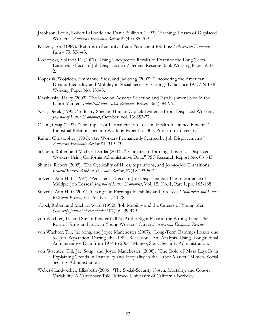- Jacobson, Louis, Robert LaLonde and Daniel Sullivan (1993). 'Earnings Losses of Displaced Workers.' *American Economic Review* 83(4): 685-709.
- Kletzer, Lori (1989). 'Returns to Seniority after a Permanent Job Loss.' *American Economic Review* 79: 536-43.
- Kodrzycki, Yolanda K. (2007). 'Using Unexpected Recalls to Examine the Long-Term Earnings Effects of Job Displacement.' Federal Reserve Bank Working Paper W07- 2.
- Kopczuk, Wojciech, Emmanuel Saez, and Jae Song (2007). 'Uncovering the American Dream: Inequality and Mobility in Social Security Earnings Data since 1937.' NBER Working Paper No. 13345.
- Krashinsky, Harry (2002). 'Evidence on Adverse Selection and Establishment Size In the Labor Market.' *Industrial and Labor Relations Review* 56(1): 84-96.
- Neal, Derek (1995). 'Industry-Specific Human Capital: Evidence From Displaced Workers,' *Journal of Labor Economics*, October, vol. 13: 653-77.
- Olson, Craig (1992). 'The Impact of Permanent Job Loss on Health Insurance Benefits.' Industrial Relations Section Working Paper No. 305. Princeton University.
- Ruhm, Christopher (1991). 'Are Workers Permanently Scarred by Job Displacements?' *American Economic Review* 81: 319-23.
- Schoeni, Robert and Michael Dardia (2003). "Estimates of Earnings Losses of Displaced Workers Using California Administrative Data." PSC Research Report No. 03-543.
- Shimer, Robert (2005). 'The Cyclicality of Hires, Separations, and Job-to-Job Transitions.' *Federal Reserve Bank of St. Louis Review*, 87(4): 493-507.
- Stevens, Ann Huff (1997). 'Persistent Effects of Job Displacement: The Importance of Multiple Job Losses.' *Journal of Labor Economics*, Vol. 15, No. 1, Part 1, pp. 165-188
- Stevens, Ann Huff (2001). 'Changes in Earnings Instability and Job Loss**.'** *Industrial and Labor Relations Review*, Vol. 55, No. 1, 60-78.
- Topel, Robert and Michael Ward (1992). 'Job Mobility and the Careers of Young Men.' *Quarterly Journal of Economics* 107(2): 439-479.
- von Wachter, Till and Stefan Bender (2006) 'At the Right Place at the Wrong Time: The Role of Firms and Luck in Young Workers' Careers.' *American Economic Review*.
- von Wachter, Till, Jae Song, and Joyce Manchester (2007). `Long-Term Earnings Losses due to Job Separation During the 1982 Recession: An Analysis Using Longitudinal Administrative Data from 1974 to 2004.' Mimeo, Social Security Administration.
- von Wachter, Till, Jae Song, and Joyce Manchester (2008). `The Role of Mass Layoffs in Explaining Trends in Instability and Inequality in the Labor Market.' Mimeo, Social Security Administration.
- Weber-Handwerker, Elizabeth (2006). 'The Social-Security Notch, Mortality, and Cohort Variability: A Cautionary Tale.' Mimeo. University of California Berkeley.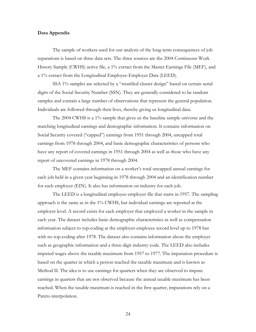#### **Data Appendix**

The sample of workers used for our analysis of the long-term consequences of job separations is based on three data sets. The three sources are the 2004 Continuous Work History Sample (CWHS) active file, a 1% extract from the Master Earnings File (MEF), and a 1% extract from the Longitudinal Employee-Employer Data (LEED).

SSA 1% samples are selected by a "stratified cluster design" based on certain serial digits of the Social Security Number (SSN). They are generally considered to be random samples and contain a large number of observations that represent the general population. Individuals are followed through their lives, thereby giving us longitudinal data.

The 2004 CWHS is a 1% sample that gives us the baseline sample universe and the matching longitudinal earnings and demographic information. It contains information on Social Security covered ("capped") earnings from 1951 through 2004, uncapped total earnings from 1978 through 2004, and basic demographic characteristics of persons who have any report of covered earnings in 1951 through 2004 as well as those who have any report of uncovered earnings in 1978 through 2004.

The MEF contains information on a worker's total uncapped annual earnings for each job held in a given year beginning in 1978 through 2004 and an identification number for each employer (EIN). It also has information on industry for each job.

The LEED is a longitudinal employee-employer file that starts in 1957. The sampling approach is the same as in the 1% CWHS, but individual earnings are reported at the employer level. A record exists for each employer that employed a worker in the sample in each year. The dataset includes basic demographic characteristics as well as compensation information subject to top-coding at the employer-employee record level up to 1978 but with no top-coding after 1978. The dataset also contains information about the employer such as geographic information and a three-digit industry code. The LEED also includes imputed wages above the taxable maximum from 1957 to 1977. The imputation procedure is based on the quarter in which a person reached the taxable maximum and is known as Method II. The idea is to use earnings for quarters when they are observed to impute earnings in quarters that are not observed because the annual taxable maximum has been reached. When the taxable maximum is reached in the first quarter, imputations rely on a Pareto interpolation.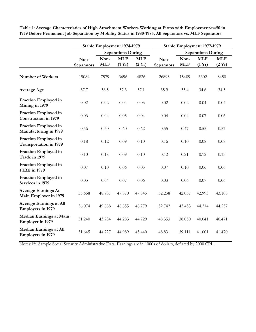|                                                            | Stable Employment 1974-1979 |                    | Stable Employment 1977-1979 |                               |                    |                    |                           |                               |
|------------------------------------------------------------|-----------------------------|--------------------|-----------------------------|-------------------------------|--------------------|--------------------|---------------------------|-------------------------------|
|                                                            |                             |                    | <b>Separations During</b>   |                               |                    |                    | <b>Separations During</b> |                               |
|                                                            | Non-<br>Separators          | Non-<br><b>MLF</b> | <b>MLF</b><br>(1 Yr)        | <b>MLF</b><br>$(2 \text{Yr})$ | Non-<br>Separators | Non-<br><b>MLF</b> | <b>MLF</b><br>(1 Yr)      | <b>MLF</b><br>$(2 \text{Yr})$ |
| Number of Workers                                          | 19084                       | 7579               | 3696                        | 4826                          | 26893              | 15409              | 6602                      | 8450                          |
| <b>Average Age</b>                                         | 37.7                        | 36.5               | 37.3                        | 37.1                          | 35.9               | 33.4               | 34.6                      | 34.5                          |
| Fraction Employed in<br>Mining in 1979                     | 0.02                        | 0.02               | 0.04                        | 0.03                          | 0.02               | 0.02               | 0.04                      | 0.04                          |
| Fraction Employed in<br><b>Construction in 1979</b>        | 0.03                        | 0.04               | 0.05                        | 0.04                          | 0.04               | 0.04               | 0.07                      | 0.06                          |
| Fraction Employed in<br>Manufacturing in 1979              | 0.56                        | 0.50               | 0.60                        | 0.62                          | 0.55               | 0.47               | 0.55                      | 0.57                          |
| Fraction Employed in<br><b>Transportation in 1979</b>      | 0.18                        | 0.12               | 0.09                        | 0.10                          | 0.16               | 0.10               | 0.08                      | 0.08                          |
| Fraction Employed in<br>Trade in 1979                      | 0.10                        | 0.18               | 0.09                        | 0.10                          | 0.12               | 0.21               | 0.12                      | 0.13                          |
| Fraction Employed in<br><b>FIRE</b> in 1979                | 0.07                        | 0.10               | 0.06                        | 0.05                          | 0.07               | 0.10               | 0.06                      | 0.06                          |
| Fraction Employed in<br>Services in 1979                   | 0.03                        | 0.04               | 0.07                        | 0.06                          | 0.03               | 0.06               | 0.07                      | 0.06                          |
| <b>Average Earnings At</b><br>Main Employer in 1979        | 55.658                      | 48.737             | 47.870                      | 47.845                        | 52.238             | 42.057             | 42.993                    | 43.108                        |
| <b>Average Earnings at All</b><br><b>Employers in 1979</b> | 56.074                      | 49.888             | 48.855                      | 48.779                        | 52.742             | 43.453             | 44.214                    | 44.257                        |
| <b>Median Earnings at Main</b><br><b>Employer in 1979</b>  | 51.240                      | 43.734             | 44.283                      | 44.729                        | 48.353             | 38.050             | 40.041                    | 40.471                        |
| <b>Median Earnings at All</b><br><b>Employers in 1979</b>  | 51.645                      | 44.727             | 44.989                      | 45.440                        | 48.831             | 39.111             | 41.001                    | 41.470                        |

o **1979 Before Permanent Job Separation by Mobility Status in 1980-1985, All Separators vs. MLF Separators Table 1: Average Characteristics of High Attachment Workers Working at Firms with Employment>=50 in** 

Notes:1% Sample Social Security Administrative Data. Earnings are in 1000s of dollars, deflated by 2000 CPI .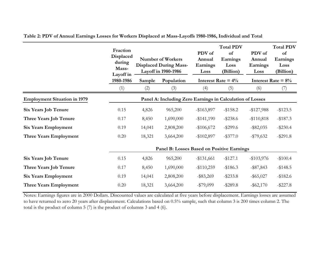|                                     | Fraction<br>Displaced<br>during<br>Mass-<br>Layoff in     |        | <b>Number of Workers</b><br><b>Displaced During Mass-</b><br>Layoff in 1980-1986 | PDV of<br>Annual<br>Earnings<br>Loss | <b>Total PDV</b><br>of<br>Earnings<br>Loss<br>(Billion) | PDV of<br>Annual<br>Earnings<br>Loss | <b>Total PDV</b><br>of<br>Earnings<br>Loss<br>(Billion) |  |  |
|-------------------------------------|-----------------------------------------------------------|--------|----------------------------------------------------------------------------------|--------------------------------------|---------------------------------------------------------|--------------------------------------|---------------------------------------------------------|--|--|
|                                     | 1980-1986                                                 | Sample | Population                                                                       |                                      | Interest Rate = $4\%$                                   |                                      | Interest Rate = $8\%$                                   |  |  |
|                                     | (1)                                                       | (2)    | (3)                                                                              | (4)                                  | (5)                                                     | (6)                                  | (7)                                                     |  |  |
| <b>Employment Situation in 1979</b> | Panel A: Including Zero Earnings in Calculation of Losses |        |                                                                                  |                                      |                                                         |                                      |                                                         |  |  |
| <b>Six Years Job Tenure</b>         | 0.15                                                      | 4,826  | 965,200                                                                          | $-$ \$163,897                        | $-$ \$158.2                                             | $-$ \$127,988                        | $-$ \$123.5                                             |  |  |
| Three Years Job Tenure              | 0.17                                                      | 8,450  | 1,690,000                                                                        | $-$ \$141,190                        | $-$ \$238.6                                             | $-$ \$110,818                        | $-$ \$187.3                                             |  |  |
| <b>Six Years Employment</b>         | 0.19                                                      | 14,041 | 2,808,200                                                                        | $-$106,672$                          | $-$ \$299.6                                             | $-$ \$82,035                         | $-$ \$230.4                                             |  |  |
| <b>Three Years Employment</b>       | 0.20                                                      | 18,321 | 3,664,200                                                                        | $-$102,897$                          | $-$ \$377.0                                             | $-$ \$79,632                         | $-$ \$291.8                                             |  |  |
|                                     | Panel B: Losses Based on Positive Earnings                |        |                                                                                  |                                      |                                                         |                                      |                                                         |  |  |
| <b>Six Years Job Tenure</b>         | 0.15                                                      | 4,826  | 965,200                                                                          | $-$ \$131,661                        | $-$127.1$                                               | $-$ \$103,976                        | $-$100.4$                                               |  |  |
| Three Years Job Tenure              | 0.17                                                      | 8,450  | 1,690,000                                                                        | $-$ \$110,259                        | $-$ \$186.3                                             | $-$ \$87,843                         | $-$148.5$                                               |  |  |
| <b>Six Years Employment</b>         | 0.19                                                      | 14,041 | 2,808,200                                                                        | $-$ \$83,269                         | $-$ \$233.8                                             | $-$ \$65,027                         | $-$ \$182.6                                             |  |  |
| Three Years Employment              | 0.20                                                      | 18,321 | 3,664,200                                                                        | $-$ \$79,099                         | $-$ \$289.8                                             | $-$ \$62,170                         | $-$ \$227.8                                             |  |  |

**Table 2: PDV of Annual Earnings Losses for Workers Displaced at Mass-Layoffs 1980-1986, Individual and Total**

Notes: Earnings figures are in 2000 Dollars. Discounted values are calculated at five years before displacement. Earnings losses are assumed to have returned to zero 20 years after displacement. Calculations based on 0.5% sample, such that column 3 is 200 times column 2. The total is the product of column 5 (7) is the product of columns 3 and 4 (6).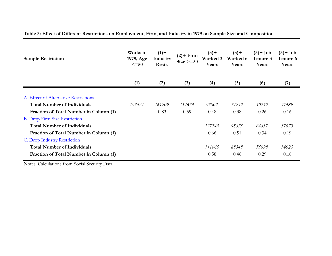| Table 3: Effect of Different Restrictions on Employment, Firm, and Industry in 1979 on Sample Size and Composition |  |  |  |
|--------------------------------------------------------------------------------------------------------------------|--|--|--|
|                                                                                                                    |  |  |  |

| <b>Sample Restriction</b>              | Works in<br>1979, Age<br>$\leq$ =50 | $(1) +$<br>Industry<br>Restr. | $(2)$ + Firm<br>$Size \ge 50$ | $(3) +$<br>Worked 3<br>Years | $(3)$ +<br>Worked 6<br>Years | $(3)$ + Job<br>Tenure 3<br>Years | $(3)$ + Job<br>Tenure 6<br>Years |
|----------------------------------------|-------------------------------------|-------------------------------|-------------------------------|------------------------------|------------------------------|----------------------------------|----------------------------------|
|                                        | (1)                                 | (2)                           | (3)                           | (4)                          | (5)                          | (6)                              | (7)                              |
| A. Effect of Alternative Restrictions  |                                     |                               |                               |                              |                              |                                  |                                  |
| <b>Total Number of Individuals</b>     | 193524                              | 161209                        | 114673                        | 93002                        | 74232                        | 50752                            | 31489                            |
| Fraction of Total Number in Column (1) |                                     | 0.83                          | 0.59                          | 0.48                         | 0.38                         | 0.26                             | 0.16                             |
| <b>B. Drop Firm Size Restriction</b>   |                                     |                               |                               |                              |                              |                                  |                                  |
| <b>Total Number of Individuals</b>     |                                     |                               |                               | 127743                       | 98875                        | 64837                            | 37670                            |
| Fraction of Total Number in Column (1) |                                     |                               |                               | 0.66                         | 0.51                         | 0.34                             | 0.19                             |
| C. Drop Industry Restriction           |                                     |                               |                               |                              |                              |                                  |                                  |
| <b>Total Number of Individuals</b>     |                                     |                               |                               | 111665                       | 88348                        | 55698                            | 34023                            |
| Fraction of Total Number in Column (1) |                                     |                               |                               | 0.58                         | 0.46                         | 0.29                             | 0.18                             |

Notes: Calculations from Social Security Data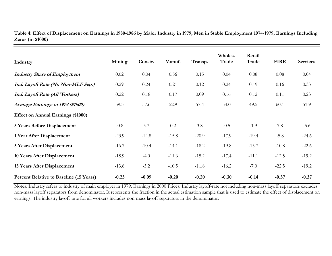| Industry                                  | Mining  | Constr. | Manuf.  | Transp. | Wholes.<br>Trade | Retail<br>Trade | <b>FIRE</b> | <b>Services</b> |
|-------------------------------------------|---------|---------|---------|---------|------------------|-----------------|-------------|-----------------|
| <b>Industry Share of Employment</b>       | 0.02    | 0.04    | 0.56    | 0.15    | 0.04             | 0.08            | 0.08        | 0.04            |
| Ind. Layoff Rate (No Non-MLF Sep.)        | 0.29    | 0.24    | 0.21    | 0.12    | 0.24             | 0.19            | 0.16        | 0.33            |
| Ind. Layoff Rate (All Workers)            | 0.22    | 0.18    | 0.17    | 0.09    | 0.16             | 0.12            | 0.11        | 0.23            |
| Average Earnings in 1979 (\$1000)         | 59.3    | 57.6    | 52.9    | 57.4    | 54.0             | 49.5            | 60.1        | 51.9            |
| <b>Effect on Annual Earnings (\$1000)</b> |         |         |         |         |                  |                 |             |                 |
| <b>5 Years Before Displacement</b>        | $-0.8$  | 5.7     | 0.2     | 3.8     | $-0.5$           | $-1.9$          | 7.8         | $-5.6$          |
| 1 Year After Displacement                 | $-23.9$ | $-14.8$ | $-15.8$ | $-20.9$ | $-17.9$          | $-19.4$         | $-5.8$      | $-24.6$         |
| <b>5 Years After Displacement</b>         | $-16.7$ | $-10.4$ | $-14.1$ | $-18.2$ | $-19.8$          | $-15.7$         | $-10.8$     | $-22.6$         |
| 10 Years After Displacement               | $-18.9$ | $-4.0$  | $-11.6$ | $-15.2$ | $-17.4$          | $-11.1$         | $-12.5$     | $-19.2$         |
| <b>15 Years After Displacement</b>        | $-13.8$ | $-5.2$  | $-10.5$ | $-11.8$ | $-16.2$          | $-7.0$          | $-22.5$     | $-19.2$         |
| Percent Relative to Baseline (15 Years)   | $-0.23$ | $-0.09$ | $-0.20$ | $-0.20$ | $-0.30$          | $-0.14$         | $-0.37$     | $-0.37$         |

**Table 4: Effect of Displacement on Earnings in 1980-1986 by Major Industry in 1979, Men in Stable Employment 1974-1979, Earnings Including Zeros (in \$1000)**

Notes: Industry refers to industry of main employer in 1979. Earnings in 2000 Prices. Industry layoff-rate not including non-mass layoff separators excludes non-mass layoff separators from denominator. It represents the fraction in the actual estimation sample that is used to estimate the effect of displacement on earnings. The industry layoff-rate for all workers includes non-mass layoff separators in the denominator.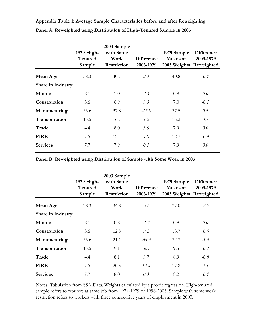|                           | $1979$ High-<br>Tenured<br>Sample | 2003 Sample<br>with Some<br>Work<br>Restriction | <b>Difference</b><br>2003-1979 | 1979 Sample<br>Means at<br>2003 Weights Reweighted | <b>Difference</b><br>2003-1979 |
|---------------------------|-----------------------------------|-------------------------------------------------|--------------------------------|----------------------------------------------------|--------------------------------|
| Mean Age                  | 38.3                              | 40.7                                            | 2.3                            | 40.8                                               | $-0.1$                         |
| <b>Share in Industry:</b> |                                   |                                                 |                                |                                                    |                                |
| Mining                    | 2.1                               | 1.0                                             | $-1.1$                         | 0.9                                                | 0.0                            |
| Construction              | 3.6                               | 6.9                                             | 3.3                            | 7.0                                                | $-0.1$                         |
| Manufacturing             | 55.6                              | 37.8                                            | $-17.8$                        | 37.5                                               | 0.4                            |
| Transportation            | 15.5                              | 16.7                                            | $1.2^{\circ}$                  | 16.2                                               | 0.5                            |
| <b>Trade</b>              | 4.4                               | 8.0                                             | 3.6                            | 7.9                                                | 0.0                            |
| <b>FIRE</b>               | 7.6                               | 12.4                                            | 4.8                            | 12.7                                               | $-0.3$                         |
| <b>Services</b>           | 7.7                               | 7.9                                             | 0.1                            | 7.9                                                | 0.0                            |

**Appendix Table 1: Average Sample Characteristics before and after Reweighting Panel A: Reweighted using Distribution of High-Tenured Sample in 2003**

**Panel B: Reweighted using Distribution of Sample with Some Work in 2003**

|                           | 1979 High-<br>Tenured<br>Sample | 2003 Sample<br>with Some<br>Work<br>Restriction | <b>Difference</b><br>2003-1979 | 1979 Sample<br>Means at<br>2003 Weights Reweighted | <b>Difference</b><br>2003-1979 |
|---------------------------|---------------------------------|-------------------------------------------------|--------------------------------|----------------------------------------------------|--------------------------------|
| Mean Age                  | 38.3                            | 34.8                                            | $-3.6$                         | 37.0                                               | $-2.2$                         |
| <b>Share in Industry:</b> |                                 |                                                 |                                |                                                    |                                |
| Mining                    | 2.1                             | 0.8                                             | $-1.3$                         | 0.8                                                | 0.0                            |
| Construction              | 3.6                             | 12.8                                            | 9.2                            | 13.7                                               | $-0.9$                         |
| Manufacturing             | 55.6                            | 21.1                                            | $-34.5$                        | 22.7                                               | $-1.5$                         |
| Transportation            | 15.5                            | 9.1                                             | $-6.3$                         | 9.5                                                | $-0.4$                         |
| Trade                     | 4.4                             | 8.1                                             | 3.7                            | 8.9                                                | $-0.8$                         |
| <b>FIRE</b>               | 7.6                             | 20.3                                            | 12.8                           | 17.8                                               | 2.5                            |
| <b>Services</b>           | 7.7                             | 8.0                                             | 0.3                            | 8.2                                                | $-0.1$                         |

Notes: Tabulation from SSA Data. Weights calculated by a probit regression. High-tenured sample refers to workers at same job from 1974-1979 or 1998-2003. Sample with some work restriction refers to workers with three consecutive years of employment in 2003.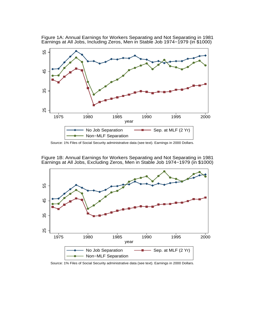

Figure 1A: Annual Earnings for Workers Separating and Not Separating in 1981 Earnings at All Jobs, Including Zeros, Men in Stable Job 1974−1979 (in \$1000)

Source: 1% Files of Social Security administrative data (see text). Earnings in 2000 Dollars.

Figure 1B: Annual Earnings for Workers Separating and Not Separating in 1981 Earnings at All Jobs, Excluding Zeros, Men in Stable Job 1974−1979 (in \$1000)



Source: 1% Files of Social Security administrative data (see text). Earnings in 2000 Dollars.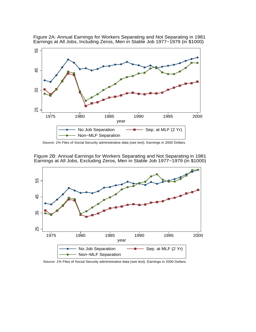

Figure 2A: Annual Earnings for Workers Separating and Not Separating in 1981 Earnings at All Jobs, Including Zeros, Men in Stable Job 1977−1979 (in \$1000)

Source: 1% Files of Social Security administrative data (see text). Earnings in 2000 Dollars.

Figure 2B: Annual Earnings for Workers Separating and Not Separating in 1981 Earnings at All Jobs, Excluding Zeros, Men in Stable Job 1977−1979 (in \$1000)



Source: 1% Files of Social Security administrative data (see text). Earnings in 2000 Dollars.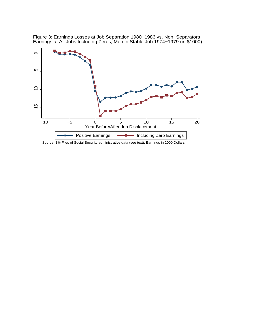

Figure 3: Earnings Losses at Job Separation 1980−1986 vs. Non−Separators Earnings at All Jobs Including Zeros, Men in Stable Job 1974−1979 (in \$1000)

Source: 1% Files of Social Security administrative data (see text). Earnings in 2000 Dollars.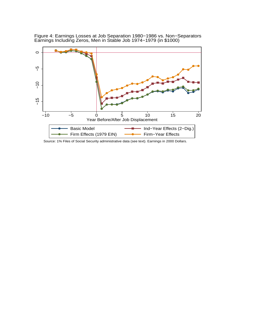

Figure 4: Earnings Losses at Job Separation 1980−1986 vs. Non−Separators Earnings Including Zeros, Men in Stable Job 1974−1979 (in \$1000)

Source: 1% Files of Social Security administrative data (see text). Earnings in 2000 Dollars.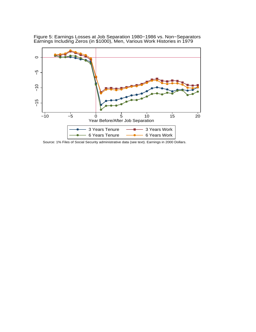

Figure 5: Earnings Losses at Job Separation 1980−1986 vs. Non−Separators Earnings Including Zeros (in \$1000), Men, Various Work Histories in 1979

Source: 1% Files of Social Security administrative data (see text). Earnings in 2000 Dollars.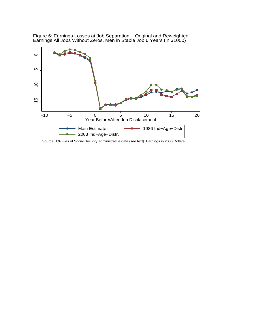

Figure 6: Earnings Losses at Job Separation - Original and Reweighted Earnings All Jobs Without Zeros, Men in Stable Job 6 Years (in \$1000)

Source: 1% Files of Social Security administrative data (see text). Earnings in 2000 Dollars.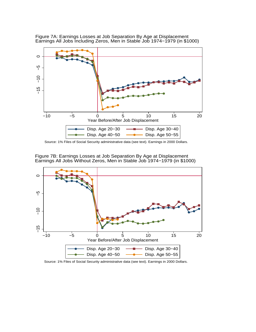

Figure 7A: Earnings Losses at Job Separation By Age at Displacement Earnings All Jobs Including Zeros, Men in Stable Job 1974−1979 (in \$1000)

Source: 1% Files of Social Security administrative data (see text). Earnings in 2000 Dollars.



Figure 7B: Earnings Losses at Job Separation By Age at Displacement Earnings All Jobs Without Zeros, Men in Stable Job 1974−1979 (in \$1000)

Source: 1% Files of Social Security administrative data (see text). Earnings in 2000 Dollars.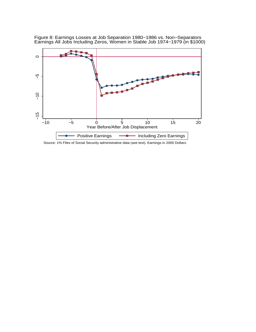

Figure 8: Earnings Losses at Job Separation 1980−1986 vs. Non−Separators Earnings All Jobs Including Zeros, Women in Stable Job 1974−1979 (in \$1000)

Source: 1% Files of Social Security administrative data (see text). Earnings in 2000 Dollars.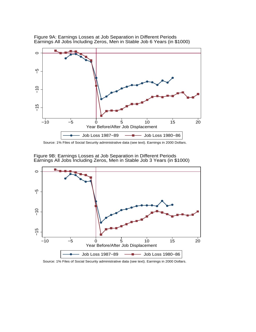

Figure 9A: Earnings Losses at Job Separation in Different Periods Earnings All Jobs Including Zeros, Men in Stable Job 6 Years (in \$1000)

Source: 1% Files of Social Security administrative data (see text). Earnings in 2000 Dollars.



Figure 9B: Earnings Losses at Job Separation in Different Periods Earnings All Jobs Including Zeros, Men in Stable Job 3 Years (in \$1000)

Source: 1% Files of Social Security administrative data (see text). Earnings in 2000 Dollars.